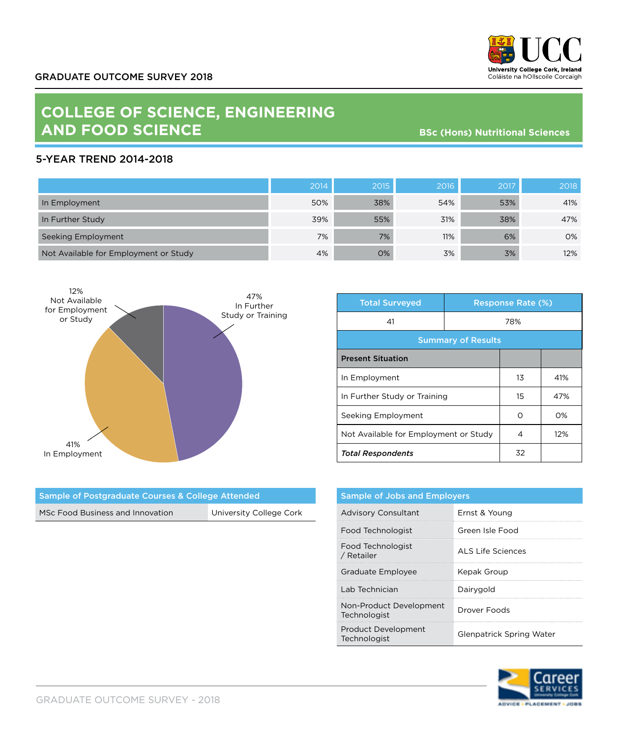

## **COLLEGE OF SCIENCE, ENGINEERING AND FOOD SCIENCE**

**BSc (Hons) Nutritional Sciences**

## 5-YEAR TREND 2014-2018

|                                       | 2014 | 2015 | 2016 | 2017 | 2018 |
|---------------------------------------|------|------|------|------|------|
| In Employment                         | 50%  | 38%  | 54%  | 53%  | 41%  |
| In Further Study                      | 39%  | 55%  | 31%  | 38%  | 47%  |
| Seeking Employment                    | 7%   | 7%   | 11%  | 6%   | 0%   |
| Not Available for Employment or Study | 4%   | 0%   | 3%   | 3%   | 12%  |



Sample of Postgraduate Courses & College Attended

MSc Food Business and Innovation University College Cork

| <b>Total Surveyed</b>                 |     | <b>Response Rate (%)</b> |     |  |
|---------------------------------------|-----|--------------------------|-----|--|
| 41                                    | 78% |                          |     |  |
| <b>Summary of Results</b>             |     |                          |     |  |
| <b>Present Situation</b>              |     |                          |     |  |
| In Employment                         |     | 13                       | 41% |  |
| In Further Study or Training          |     | 15                       | 47% |  |
| Seeking Employment                    |     | റ                        | O%  |  |
| Not Available for Employment or Study |     | 4                        | 12% |  |
| <b>Total Respondents</b>              |     | 32                       |     |  |

|  |                                            | <b>Sample of Jobs and Employers</b>     |                   |  |
|--|--------------------------------------------|-----------------------------------------|-------------------|--|
|  |                                            | <b>Advisory Consultant</b>              | Ernst & Young     |  |
|  |                                            | Food Technologist                       | Green Isle Food   |  |
|  |                                            | Food Technologist<br>/ Retailer         | ALS Life Sciences |  |
|  |                                            | Graduate Employee                       | Kepak Group       |  |
|  |                                            | Lab Technician                          | Dairygold         |  |
|  |                                            | Non-Product Development<br>Technologist | Drover Foods      |  |
|  | <b>Product Development</b><br>Technologist | Glenpatrick Spring Water                |                   |  |